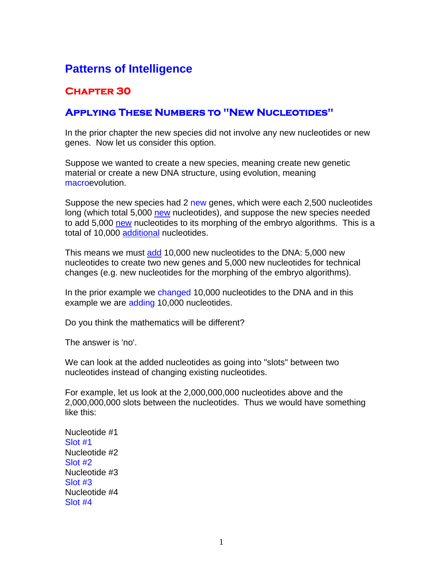# **Patterns of Intelligence**

## **Chapter 30**

## **Applying These Numbers to "New Nucleotides"**

In the prior chapter the new species did not involve any new nucleotides or new genes. Now let us consider this option.

Suppose we wanted to create a new species, meaning create new genetic material or create a new DNA structure, using evolution, meaning macroevolution.

Suppose the new species had 2 new genes, which were each 2,500 nucleotides long (which total 5,000 new nucleotides), and suppose the new species needed to add 5,000 new nucleotides to its morphing of the embryo algorithms. This is a total of 10,000 additional nucleotides.

This means we must add 10,000 new nucleotides to the DNA: 5,000 new nucleotides to create two new genes and 5,000 new nucleotides for technical changes (e.g. new nucleotides for the morphing of the embryo algorithms).

In the prior example we changed 10,000 nucleotides to the DNA and in this example we are adding 10,000 nucleotides.

Do you think the mathematics will be different?

The answer is 'no'.

We can look at the added nucleotides as going into "slots" between two nucleotides instead of changing existing nucleotides.

For example, let us look at the 2,000,000,000 nucleotides above and the 2,000,000,000 slots between the nucleotides. Thus we would have something like this:

Nucleotide #1 Slot #1 Nucleotide #2 Slot #2 Nucleotide #3 Slot #3 Nucleotide #4 Slot #4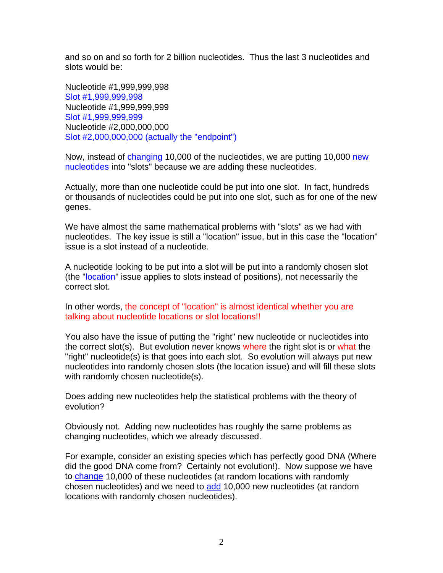and so on and so forth for 2 billion nucleotides. Thus the last 3 nucleotides and slots would be:

Nucleotide #1,999,999,998 Slot #1,999,999,998 Nucleotide #1,999,999,999 Slot #1,999,999,999 Nucleotide #2,000,000,000 Slot #2,000,000,000 (actually the "endpoint")

Now, instead of changing 10,000 of the nucleotides, we are putting 10,000 new nucleotides into "slots" because we are adding these nucleotides.

Actually, more than one nucleotide could be put into one slot. In fact, hundreds or thousands of nucleotides could be put into one slot, such as for one of the new genes.

We have almost the same mathematical problems with "slots" as we had with nucleotides. The key issue is still a "location" issue, but in this case the "location" issue is a slot instead of a nucleotide.

A nucleotide looking to be put into a slot will be put into a randomly chosen slot (the "location" issue applies to slots instead of positions), not necessarily the correct slot.

In other words, the concept of "location" is almost identical whether you are talking about nucleotide locations or slot locations!!

You also have the issue of putting the "right" new nucleotide or nucleotides into the correct slot(s). But evolution never knows where the right slot is or what the "right" nucleotide(s) is that goes into each slot. So evolution will always put new nucleotides into randomly chosen slots (the location issue) and will fill these slots with randomly chosen nucleotide(s).

Does adding new nucleotides help the statistical problems with the theory of evolution?

Obviously not. Adding new nucleotides has roughly the same problems as changing nucleotides, which we already discussed.

For example, consider an existing species which has perfectly good DNA (Where did the good DNA come from? Certainly not evolution!). Now suppose we have to change 10,000 of these nucleotides (at random locations with randomly chosen nucleotides) and we need to add 10,000 new nucleotides (at random locations with randomly chosen nucleotides).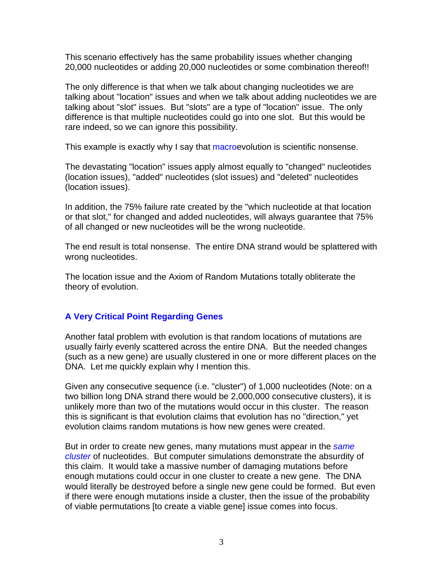This scenario effectively has the same probability issues whether changing 20,000 nucleotides or adding 20,000 nucleotides or some combination thereof!!

The only difference is that when we talk about changing nucleotides we are talking about "location" issues and when we talk about adding nucleotides we are talking about "slot" issues. But "slots" are a type of "location" issue. The only difference is that multiple nucleotides could go into one slot. But this would be rare indeed, so we can ignore this possibility.

This example is exactly why I say that macroevolution is scientific nonsense.

The devastating "location" issues apply almost equally to "changed" nucleotides (location issues), "added" nucleotides (slot issues) and "deleted" nucleotides (location issues).

In addition, the 75% failure rate created by the "which nucleotide at that location or that slot," for changed and added nucleotides, will always guarantee that 75% of all changed or new nucleotides will be the wrong nucleotide.

The end result is total nonsense. The entire DNA strand would be splattered with wrong nucleotides.

The location issue and the Axiom of Random Mutations totally obliterate the theory of evolution.

### **A Very Critical Point Regarding Genes**

Another fatal problem with evolution is that random locations of mutations are usually fairly evenly scattered across the entire DNA. But the needed changes (such as a new gene) are usually clustered in one or more different places on the DNA. Let me quickly explain why I mention this.

Given any consecutive sequence (i.e. "cluster") of 1,000 nucleotides (Note: on a two billion long DNA strand there would be 2,000,000 consecutive clusters), it is unlikely more than two of the mutations would occur in this cluster. The reason this is significant is that evolution claims that evolution has no "direction," yet evolution claims random mutations is how new genes were created.

But in order to create new genes, many mutations must appear in the *same cluster* of nucleotides. But computer simulations demonstrate the absurdity of this claim. It would take a massive number of damaging mutations before enough mutations could occur in one cluster to create a new gene. The DNA would literally be destroyed before a single new gene could be formed. But even if there were enough mutations inside a cluster, then the issue of the probability of viable permutations [to create a viable gene] issue comes into focus.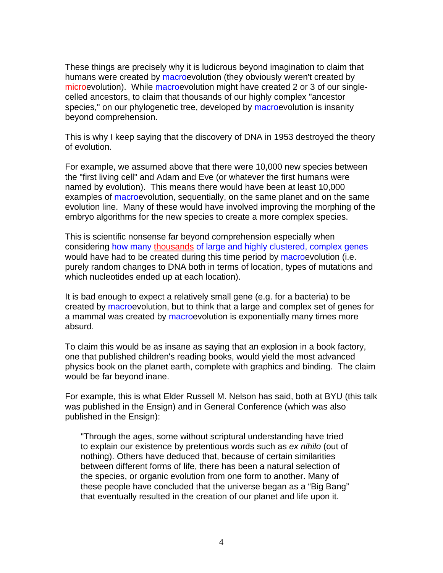These things are precisely why it is ludicrous beyond imagination to claim that humans were created by macroevolution (they obviously weren't created by microevolution). While macroevolution might have created 2 or 3 of our singlecelled ancestors, to claim that thousands of our highly complex "ancestor species." on our phylogenetic tree, developed by macroevolution is insanity beyond comprehension.

This is why I keep saying that the discovery of DNA in 1953 destroyed the theory of evolution.

For example, we assumed above that there were 10,000 new species between the "first living cell" and Adam and Eve (or whatever the first humans were named by evolution). This means there would have been at least 10,000 examples of macroevolution, sequentially, on the same planet and on the same evolution line. Many of these would have involved improving the morphing of the embryo algorithms for the new species to create a more complex species.

This is scientific nonsense far beyond comprehension especially when considering how many thousands of large and highly clustered, complex genes would have had to be created during this time period by macroevolution (i.e. purely random changes to DNA both in terms of location, types of mutations and which nucleotides ended up at each location).

It is bad enough to expect a relatively small gene (e.g. for a bacteria) to be created by macroevolution, but to think that a large and complex set of genes for a mammal was created by macroevolution is exponentially many times more absurd.

To claim this would be as insane as saying that an explosion in a book factory, one that published children's reading books, would yield the most advanced physics book on the planet earth, complete with graphics and binding. The claim would be far beyond inane.

For example, this is what Elder Russell M. Nelson has said, both at BYU (this talk was published in the Ensign) and in General Conference (which was also published in the Ensign):

"Through the ages, some without scriptural understanding have tried to explain our existence by pretentious words such as *ex nihilo* (out of nothing). Others have deduced that, because of certain similarities between different forms of life, there has been a natural selection of the species, or organic evolution from one form to another. Many of these people have concluded that the universe began as a "Big Bang" that eventually resulted in the creation of our planet and life upon it.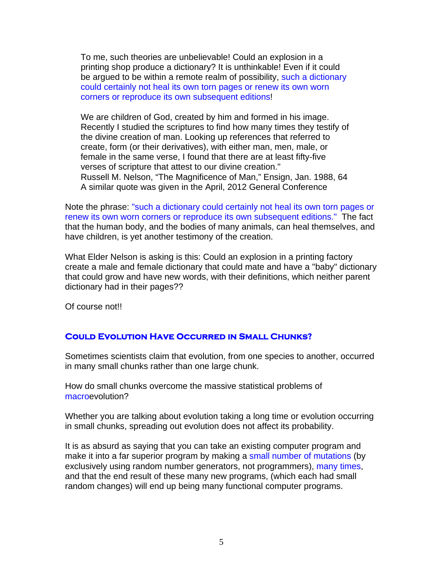To me, such theories are unbelievable! Could an explosion in a printing shop produce a dictionary? It is unthinkable! Even if it could be argued to be within a remote realm of possibility, such a dictionary could certainly not heal its own torn pages or renew its own worn corners or reproduce its own subsequent editions!

We are children of God, created by him and formed in his image. Recently I studied the scriptures to find how many times they testify of the divine creation of man. Looking up references that referred to create, form (or their derivatives), with either man, men, male, or female in the same verse, I found that there are at least fifty-five verses of scripture that attest to our divine creation." Russell M. Nelson, "The Magnificence of Man," Ensign, Jan. 1988, 64 A similar quote was given in the April, 2012 General Conference

Note the phrase: "such a dictionary could certainly not heal its own torn pages or renew its own worn corners or reproduce its own subsequent editions." The fact that the human body, and the bodies of many animals, can heal themselves, and have children, is yet another testimony of the creation.

What Elder Nelson is asking is this: Could an explosion in a printing factory create a male and female dictionary that could mate and have a "baby" dictionary that could grow and have new words, with their definitions, which neither parent dictionary had in their pages??

Of course not!!

### **Could Evolution Have Occurred in Small Chunks?**

Sometimes scientists claim that evolution, from one species to another, occurred in many small chunks rather than one large chunk.

How do small chunks overcome the massive statistical problems of macroevolution?

Whether you are talking about evolution taking a long time or evolution occurring in small chunks, spreading out evolution does not affect its probability.

It is as absurd as saying that you can take an existing computer program and make it into a far superior program by making a small number of mutations (by exclusively using random number generators, not programmers), many times, and that the end result of these many new programs, (which each had small random changes) will end up being many functional computer programs.